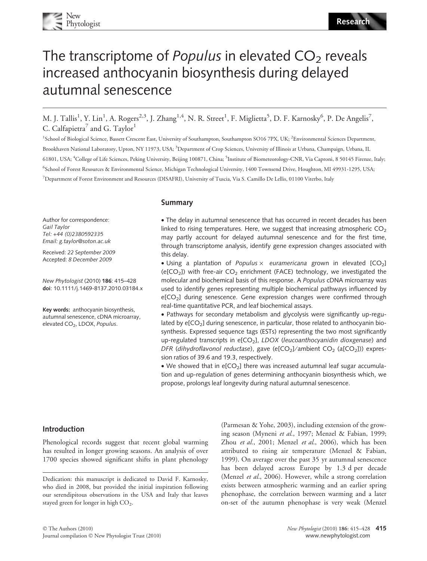# The transcriptome of *Populus* in elevated  $CO<sub>2</sub>$  reveals increased anthocyanin biosynthesis during delayed autumnal senescence

M. J. Tallis<sup>1</sup>, Y. Lin<sup>1</sup>, A. Rogers<sup>2,3</sup>, J. Zhang<sup>1,4</sup>, N. R. Street<sup>1</sup>, F. Miglietta<sup>5</sup>, D. F. Karnosky<sup>6</sup>, P. De Angelis<sup>7</sup>, C. Calfapietra<sup>7</sup> and G. Taylor<sup>1</sup>

<sup>1</sup>School of Biological Science, Bassett Crescent East, University of Southampton, Southampton SO16 7PX, UK; <sup>2</sup>Environmental Sciences Department, Brookhaven National Laboratory, Upton, NY 11973, USA; <sup>3</sup>Department of Crop Sciences, University of Illinois at Urbana, Champaign, Urbana, IL 61801, USA; <sup>4</sup>College of Life Sciences, Peking University, Beijing 100871, China; <sup>5</sup>Institute of Biometeorology-CNR, Via Caproni, 8 50145 Firenze, Italy; 6 School of Forest Resources & Environmental Science, Michigan Technological University, 1400 Townsend Drive, Houghton, MI 49931-1295, USA; 7 Department of Forest Environment and Resources (DISAFRI), University of Tuscia, Via S. Camillo De Lellis, 01100 Viterbo, Italy

#### Summary

Author for correspondence: Gail Taylor Tel: +44 (0)2380592335 Email: g.taylor@soton.ac.uk

Received: 22 September 2009 Accepted: 8 December 2009

New Phytologist (2010) 186: 415–428 doi: 10.1111/j.1469-8137.2010.03184.x

Key words: anthocyanin biosynthesis, autumnal senescence, cDNA microarray, elevated CO<sub>2</sub>, LDOX, Populus.

• The delay in autumnal senescence that has occurred in recent decades has been linked to rising temperatures. Here, we suggest that increasing atmospheric  $CO<sub>2</sub>$ may partly account for delayed autumnal senescence and for the first time, through transcriptome analysis, identify gene expression changes associated with this delay.

• Using a plantation of Populus  $\times$  euramericana grown in elevated [CO<sub>2</sub>] (e[CO<sub>2</sub>]) with free-air CO<sub>2</sub> enrichment (FACE) technology, we investigated the molecular and biochemical basis of this response. A Populus cDNA microarray was used to identify genes representing multiple biochemical pathways influenced by e[CO<sub>2</sub>] during senescence. Gene expression changes were confirmed through real-time quantitative PCR, and leaf biochemical assays.

• Pathways for secondary metabolism and glycolysis were significantly up-regulated by  $e[CO_2]$  during senescence, in particular, those related to anthocyanin biosynthesis. Expressed sequence tags (ESTs) representing the two most significantly up-regulated transcripts in  $e[CO_2]$ , LDOX (leucoanthocyanidin dioxgenase) and DFR (dihydroflavonol reductase), gave (e[CO<sub>2</sub>]/ambient CO<sub>2</sub> (a[CO<sub>2</sub>])) expression ratios of 39.6 and 19.3, respectively.

• We showed that in  $e[CO_2]$  there was increased autumnal leaf sugar accumulation and up-regulation of genes determining anthocyanin biosynthesis which, we propose, prolongs leaf longevity during natural autumnal senescence.

#### Introduction

Phenological records suggest that recent global warming has resulted in longer growing seasons. An analysis of over 1700 species showed significant shifts in plant phenology (Parmesan & Yohe, 2003), including extension of the growing season (Myneni et al., 1997; Menzel & Fabian, 1999; Zhou et al., 2001; Menzel et al., 2006), which has been attributed to rising air temperature (Menzel & Fabian, 1999). On average over the past 35 yr autumnal senescence has been delayed across Europe by 1.3 d per decade (Menzel et al., 2006). However, while a strong correlation exists between atmospheric warming and an earlier spring phenophase, the correlation between warming and a later on-set of the autumn phenophase is very weak (Menzel

Dedication: this manuscript is dedicated to David F. Karnosky, who died in 2008, but provided the initial inspiration following our serendipitous observations in the USA and Italy that leaves stayed green for longer in high CO<sub>2</sub>.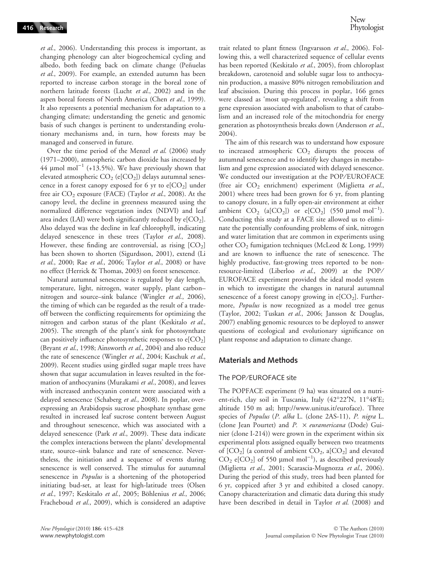et al., 2006). Understanding this process is important, as changing phenology can alter biogeochemical cycling and albedo, both feeding back on climate change (Peñuelas et al., 2009). For example, an extended autumn has been reported to increase carbon storage in the boreal zone of northern latitude forests (Lucht et al., 2002) and in the aspen boreal forests of North America (Chen et al., 1999). It also represents a potential mechanism for adaptation to a changing climate; understanding the genetic and genomic basis of such changes is pertinent to understanding evolutionary mechanisms and, in turn, how forests may be managed and conserved in future.

Over the time period of the Menzel et al. (2006) study (1971–2000), atmospheric carbon dioxide has increased by 44  $\mu$ mol mol<sup>-1</sup> (+13.5%). We have previously shown that elevated atmospheric  $CO_2$  (e[ $CO_2$ ]) delays autumnal senescence in a forest canopy exposed for 6 yr to  $e[CO_2]$  under free air  $CO_2$  exposure (FACE) (Taylor et al., 2008). At the canopy level, the decline in greenness measured using the normalized difference vegetation index (NDVI) and leaf area index (LAI) were both significantly reduced by  $e[CO<sub>2</sub>]$ . Also delayed was the decline in leaf chlorophyll, indicating delayed senescence in these trees (Taylor et al., 2008). However, these finding are controversial, as rising  $[CO<sub>2</sub>]$ has been shown to shorten (Sigurdsson, 2001), extend (Li et al., 2000; Rae et al., 2006; Taylor et al., 2008) or have no effect (Herrick & Thomas, 2003) on forest senescence.

Natural autumnal senescence is regulated by day length, temperature, light, nitrogen, water supply, plant carbon– nitrogen and source–sink balance (Wingler et al., 2006), the timing of which can be regarded as the result of a tradeoff between the conflicting requirements for optimizing the nitrogen and carbon status of the plant (Keskitalo et al., 2005). The strength of the plant's sink for photosynthate can positively influence photosynthetic responses to  $e[CO_2]$ (Bryant et al., 1998; Ainsworth et al., 2004) and also reduce the rate of senescence (Wingler et al., 2004; Kaschuk et al., 2009). Recent studies using girdled sugar maple trees have shown that sugar accumulation in leaves resulted in the formation of anthocyanins (Murakami et al., 2008), and leaves with increased anthocyanin content were associated with a delayed senescence (Schaberg et al., 2008). In poplar, overexpressing an Arabidopsis sucrose phosphate synthase gene resulted in increased leaf sucrose content between August and throughout senescence, which was associated with a delayed senescence (Park et al., 2009). These data indicate the complex interactions between the plants' developmental state, source–sink balance and rate of senescence. Nevertheless, the initiation and a sequence of events during senescence is well conserved. The stimulus for autumnal senescence in *Populus* is a shortening of the photoperiod initiating bud-set, at least for high-latitude trees (Olsen et al., 1997; Keskitalo et al., 2005; Böhlenius et al., 2006; Fracheboud et al., 2009), which is considered an adaptive trait related to plant fitness (Ingvarsson et al., 2006). Following this, a well characterized sequence of cellular events has been reported (Keskitalo et al., 2005), from chloroplast breakdown, carotenoid and soluble sugar loss to anthocyanin production, a massive 80% nitrogen remobilization and leaf abscission. During this process in poplar, 166 genes were classed as 'most up-regulated', revealing a shift from gene expression associated with anabolism to that of catabolism and an increased role of the mitochondria for energy generation as photosynthesis breaks down (Andersson et al., 2004).

The aim of this research was to understand how exposure to increased atmospheric  $CO<sub>2</sub>$  disrupts the process of autumnal senescence and to identify key changes in metabolism and gene expression associated with delayed senescence. We conducted our investigation at the POP/EUROFACE (free air  $CO<sub>2</sub>$  enrichment) experiment (Miglietta et al., 2001) where trees had been grown for 6 yr, from planting to canopy closure, in a fully open-air environment at either ambient  $CO_2$  (a[ $CO_2$ ]) or  $e[CO_2]$  (550 µmol mol<sup>-1</sup>). Conducting this study at a FACE site allowed us to eliminate the potentially confounding problems of sink, nitrogen and water limitation that are common in experiments using other CO<sub>2</sub> fumigation techniques (McLeod & Long, 1999) and are known to influence the rate of senescence. The highly productive, fast-growing trees reported to be nonresource-limited (Liberloo et al., 2009) at the POP/ EUROFACE experiment provided the ideal model system in which to investigate the changes in natural autumnal senescence of a forest canopy growing in  $e[CO_2]$ . Furthermore, Populus is now recognized as a model tree genus (Taylor, 2002; Tuskan et al., 2006; Jansson & Douglas, 2007) enabling genomic resources to be deployed to answer questions of ecological and evolutionary significance on plant response and adaptation to climate change.

#### Materials and Methods

#### The POP/EUROFACE site

The POPFACE experiment (9 ha) was situated on a nutrient-rich, clay soil in Tuscania, Italy  $(42^{\circ}22'N, 11^{\circ}48'E;$ altitude 150 m asl; http://www.unitus.it/euroface). Three species of Populus (P. alba L. (clone 2AS-11), P. nigra L. (clone Jean Pourtet) and  $P. \times$  euramericana (Dode) Guinier (clone I-214)) were grown in the experiment within six experimental plots assigned equally between two treatments of  $[CO_2]$  (a control of ambient  $CO_2$ , a $[CO_2]$  and elevated  $CO_2$  e[ $CO_2$ ] of 550  $\mu$ mol mol<sup>-1</sup>), as described previously (Miglietta et al., 2001; Scarascia-Mugnozza et al., 2006). During the period of this study, trees had been planted for 6 yr, coppiced after 3 yr and exhibited a closed canopy. Canopy characterization and climatic data during this study have been described in detail in Taylor et al. (2008) and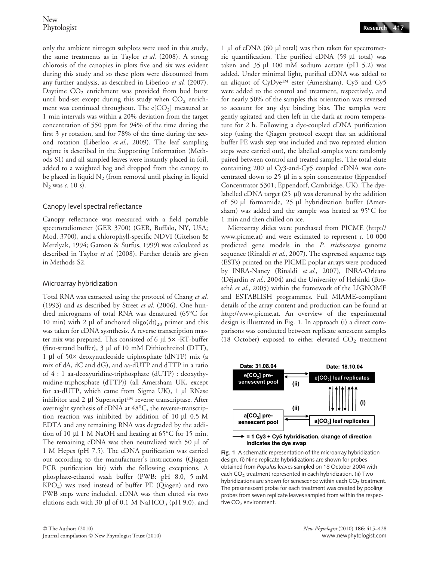only the ambient nitrogen subplots were used in this study, the same treatments as in Taylor et al. (2008). A strong chlorosis of the canopies in plots five and six was evident during this study and so these plots were discounted from any further analysis, as described in Liberloo et al. (2007). Daytime  $CO<sub>2</sub>$  enrichment was provided from bud burst until bud-set except during this study when  $CO<sub>2</sub>$  enrichment was continued throughout. The  $e[CO_2]$  measured at 1 min intervals was within a 20% deviation from the target concentration of 550 ppm for 94% of the time during the first 3 yr rotation, and for 78% of the time during the second rotation (Liberloo et al., 2009). The leaf sampling regime is described in the Supporting Information (Methods S1) and all sampled leaves were instantly placed in foil, added to a weighted bag and dropped from the canopy to be placed in liquid  $N_2$  (from removal until placing in liquid  $N_2$  was c. 10 s).

### Canopy level spectral reflectance

Canopy reflectance was measured with a field portable spectroradiometer (GER 3700) (GER, Buffalo, NY, USA; Mod. 3700), and a chlorophyll-specific NDVI (Gitelson & Merzlyak, 1994; Gamon & Surfus, 1999) was calculated as described in Taylor et al. (2008). Further details are given in Methods S2.

# Microarray hybridization

Total RNA was extracted using the protocol of Chang et al. (1993) and as described by Street et al. (2006). One hundred micrograms of total RNA was denatured  $(65^{\circ}C)$  for 10 min) with 2  $\mu$ l of anchored oligo(dt)<sub>20</sub> primer and this was taken for cDNA sysnthesis. A reverse transcription master mix was prepared. This consisted of 6  $\mu$ l 5 $\times$  -RT-buffer (first-strand buffer), 3 ll of 10 mM Dithiothreitol (DTT), 1 µl of 50 $\times$  deoxynucleoside triphosphate (dNTP) mix (a mix of dA, dC and dG), and aa-dUTP and dTTP in a ratio of 4 : 1 aa-deoxyuridine-triphosphate (dUTP) : deoxythymidine-triphosphate (dTTP)) (all Amersham UK, except for aa-dUTP, which came from Sigma UK), 1 µl RNase inhibitor and 2  $\mu$ l Superscript<sup>TM</sup> reverse transcriptase. After overnight synthesis of cDNA at  $48^{\circ}$ C, the reverse-transcription reaction was inhibited by addition of  $10 \mu l$  0.5 M EDTA and any remaining RNA was degraded by the addition of 10  $\mu$ l 1 M NaOH and heating at 65 $\degree$ C for 15 min. The remaining cDNA was then neutralized with 50 µl of 1 M Hepes (pH 7.5). The cDNA purification was carried out according to the manufacturer's instructions (Qiagen PCR purification kit) with the following exceptions. A phosphate-ethanol wash buffer (PWB: pH 8.0, 5 mM KPO4) was used instead of buffer PE (Qiagen) and two PWB steps were included. cDNA was then eluted via two elutions each with 30  $\mu$ l of 0.1 M NaHCO<sub>3</sub> (pH 9.0), and

1 µl of cDNA (60 µl total) was then taken for spectrometric quantification. The purified cDNA  $(59 \mu l \text{ total})$  was taken and  $35 \mu$  100 mM sodium acetate (pH 5.2) was added. Under minimal light, purified cDNA was added to an aliquot of CyDye<sup>TM</sup> ester (Amersham). Cy3 and Cy5 were added to the control and treatment, respectively, and for nearly 50% of the samples this orientation was reversed to account for any dye binding bias. The samples were gently agitated and then left in the dark at room temperature for 2 h. Following a dye-coupled cDNA purification step (using the Qiagen protocol except that an additional buffer PE wash step was included and two repeated elution steps were carried out), the labelled samples were randomly paired between control and treated samples. The total elute containing 200 µl Cy3-and-Cy5 coupled cDNA was concentrated down to  $25 \mu l$  in a spin concentrator (Eppendorf Concentrator 5301; Eppendorf, Cambridge, UK). The dyelabelled cDNA target  $(25 \mu l)$  was denatured by the addition of 50 µl formamide, 25 µl hybridization buffer (Amersham) was added and the sample was heated at  $95^{\circ}$ C for 1 min and then chilled on ice.

Microarray slides were purchased from PICME (http:// www.picme.at) and were estimated to represent  $c$ . 10 000 predicted gene models in the P. trichocarpa genome sequence (Rinaldi et al., 2007). The expressed sequence tags (ESTs) printed on the PICME poplar arrays were produced by INRA-Nancy (Rinaldi et al., 2007), INRA-Orleans (Déjardin et al., 2004) and the University of Helsinki (Brosché et al., 2005) within the framework of the LIGNOME and ESTABLISH programmes. Full MIAME-compliant details of the array content and production can be found at http://www.picme.at. An overview of the experimental design is illustrated in Fig. 1. In approach (i) a direct comparisons was conducted between replicate senescent samples (18 October) exposed to either elevated  $CO<sub>2</sub>$  treatment





Fig. 1 A schematic representation of the microarray hybridization design. (i) Nine replicate hybridizations are shown for probes obtained from Populus leaves sampled on 18 October 2004 with each CO<sub>2</sub> treatment represented in each hybridization. (ii) Two hybridizations are shown for senescence within each  $CO<sub>2</sub>$  treatment. The presenescent probe for each treatment was created by pooling probes from seven replicate leaves sampled from within the respective CO<sub>2</sub> environment.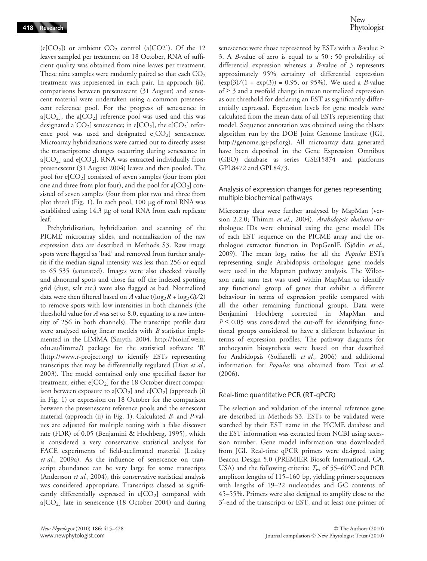$(e[CO<sub>2</sub>])$  or ambient  $CO<sub>2</sub>$  control (a[CO2]). Of the 12 leaves sampled per treatment on 18 October, RNA of sufficient quality was obtained from nine leaves per treatment. These nine samples were randomly paired so that each  $CO<sub>2</sub>$ treatment was represented in each pair. In approach (ii), comparisons between presenescent (31 August) and senescent material were undertaken using a common presenescent reference pool. For the progress of senescence in a[ $CO<sub>2</sub>$ ], the a[ $CO<sub>2</sub>$ ] reference pool was used and this was designated a[ $CO<sub>2</sub>$ ] senescence; in e[ $CO<sub>2</sub>$ ], the e[ $CO<sub>2</sub>$ ] reference pool was used and designated  $e[CO_2]$  senescence. Microarray hybridizations were carried out to directly assess the transcriptome changes occurring during senescence in a[ $CO<sub>2</sub>$ ] and e[ $CO<sub>2</sub>$ ]. RNA was extracted individually from presenescent (31 August 2004) leaves and then pooled. The pool for  $e[CO_2]$  consisted of seven samples (four from plot one and three from plot four), and the pool for  $a[CO_2]$  consisted of seven samples (four from plot two and three from plot three) (Fig. 1). In each pool, 100 μg of total RNA was established using  $14.3 \mu$ g of total RNA from each replicate leaf.

Prehybridization, hybridization and scanning of the PICME microarray slides, and normalization of the raw expression data are described in Methods S3. Raw image spots were flagged as 'bad' and removed from further analysis if the median signal intensity was less than 256 or equal to 65 535 (saturated). Images were also checked visually and abnormal spots and those far off the indexed spotting grid (dust, salt etc.) were also flagged as bad. Normalized data were then filtered based on A value (( $log_2R + log_2G$ )/2) to remove spots with low intensities in both channels (the threshold value for  $A$  was set to 8.0, equating to a raw intensity of 256 in both channels). The transcript profile data were analysed using linear models with  $B$  statistics implemented in the LIMMA (Smyth, 2004, http://bioinf.wehi. edu.au/limma/) package for the statistical software 'R' (http://www.r-project.org) to identify ESTs representing transcripts that may be differentially regulated (Diaz et al., 2003). The model contained only one specified factor for treatment, either  $e[CO_2]$  for the 18 October direct comparison between exposure to a[ $CO<sub>2</sub>$ ] and e[ $CO<sub>2</sub>$ ] (approach (i) in Fig. 1) or expression on 18 October for the comparison between the presenescent reference pools and the senescent material (approach (ii) in Fig. 1). Calculated B- and P-values are adjusted for multiple testing with a false discover rate (FDR) of 0.05 (Benjamini & Hochberg, 1995), which is considered a very conservative statistical analysis for FACE experiments of field-acclimated material (Leakey et al., 2009a). As the influence of senescence on transcript abundance can be very large for some transcripts (Andersson et al., 2004), this conservative statistical analysis was considered appropriate. Transcripts classed as significantly differentially expressed in  $e[CO_2]$  compared with a[ $CO<sub>2</sub>$ ] late in senescence (18 October 2004) and during senescence were those represented by ESTs with a *B*-value  $\ge$ 3. A B-value of zero is equal to a 50 : 50 probability of differential expression whereas a B-value of 3 represents approximately 95% certainty of differential expression  $(\exp(3)/(1 + \exp(3)) = 0.95$ , or 95%). We used a *B*-value of  $\geq 3$  and a twofold change in mean normalized expression as our threshold for declaring an EST as significantly differentially expressed. Expression levels for gene models were calculated from the mean data of all ESTs representing that model. Sequence annotation was obtained using the tblastx algorithm run by the DOE Joint Genome Institute (JGI, http://genome.jgi-psf.org). All microarray data generated have been deposited in the Gene Expression Omnibus (GEO) database as series GSE15874 and platforms GPL8472 and GPL8473.

#### Analysis of expression changes for genes representing multiple biochemical pathways

Microarray data were further analysed by MapMan (version 2.2.0; Thimm et al., 2004). Arabidopsis thaliana orthologue IDs were obtained using the gene model IDs of each EST sequence on the PICME array and the orthologue extractor function in PopGenIE (Sjödin et al., 2009). The mean  $log<sub>2</sub>$  ratios for all the *Populus* ESTs representing single Arabidopsis orthologue gene models were used in the Mapman pathway analysis. The Wilcoxon rank sum test was used within MapMan to identify any functional group of genes that exhibit a different behaviour in terms of expression profile compared with all the other remaining functional groups. Data were Benjamini Hochberg corrected in MapMan and  $P \le 0.05$  was considered the cut-off for identifying functional groups considered to have a different behaviour in terms of expression profiles. The pathway diagrams for anthocyanin biosynthesis were based on that described for Arabidopsis (Solfanelli et al., 2006) and additional information for Populus was obtained from Tsai et al. (2006).

# Real-time quantitative PCR (RT-qPCR)

The selection and validation of the internal reference gene are described in Methods S3. ESTs to be validated were searched by their EST name in the PICME database and the EST information was extracted from NCBI using accession number. Gene model information was downloaded from JGI. Real-time qPCR primers were designed using Beacon Design 5.0 (PREMIER Biosoft International, CA, USA) and the following criteria:  $T<sub>m</sub>$  of 55–60°C and PCR amplicon lengths of 115–160 bp, yielding primer sequences with lengths of 19–22 nucleotides and GC contents of 45–55%. Primers were also designed to amplify close to the 3¢-end of the transcripts or EST, and at least one primer of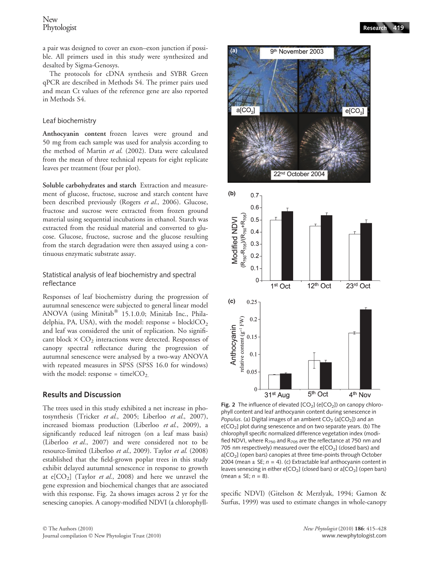New<br>Phytologist

a pair was designed to cover an exon–exon junction if possible. All primers used in this study were synthesized and desalted by Sigma-Genosys.

The protocols for cDNA synthesis and SYBR Green qPCR are described in Methods S4. The primer pairs used and mean Ct values of the reference gene are also reported in Methods S4.

#### Leaf biochemistry

Anthocyanin content frozen leaves were ground and 50 mg from each sample was used for analysis according to the method of Martin et al. (2002). Data were calculated from the mean of three technical repeats for eight replicate leaves per treatment (four per plot).

Soluble carbohydrates and starch Extraction and measurement of glucose, fructose, sucrose and starch content have been described previously (Rogers et al., 2006). Glucose, fructose and sucrose were extracted from frozen ground material using sequential incubations in ethanol. Starch was extracted from the residual material and converted to glucose. Glucose, fructose, sucrose and the glucose resulting from the starch degradation were then assayed using a continuous enzymatic substrate assay.

Statistical analysis of leaf biochemistry and spectral reflectance

Responses of leaf biochemistry during the progression of autumnal senescence were subjected to general linear model ANOVA (using Minitab® 15.1.0.0; Minitab Inc., Philadelphia, PA, USA), with the model: response =  $blockCO<sub>2</sub>$ and leaf was considered the unit of replication. No significant block  $\times$  CO<sub>2</sub> interactions were detected. Responses of canopy spectral reflectance during the progression of autumnal senescence were analysed by a two-way ANOVA with repeated measures in SPSS (SPSS 16.0 for windows) with the model: response = time $|CO<sub>2</sub>|\$ 

#### Results and Discussion

The trees used in this study exhibited a net increase in photosynthesis (Tricker et al., 2005; Liberloo et al., 2007), increased biomass production (Liberloo et al., 2009), a significantly reduced leaf nitrogen (on a leaf mass basis) (Liberloo et al., 2007) and were considered not to be resource-limited (Liberloo et al., 2009). Taylor et al. (2008) established that the field-grown poplar trees in this study exhibit delayed autumnal senescence in response to growth at e[ $CO<sub>2</sub>$ ] (Taylor *et al.*, 2008) and here we unravel the gene expression and biochemical changes that are associated with this response. Fig. 2a shows images across 2 yr for the senescing canopies. A canopy-modified NDVI (a chlorophyll-



**(a)**



Fig. 2 The influence of elevated  $[CO<sub>2</sub>]$  (e $[CO<sub>2</sub>]$ ) on canopy chlorophyll content and leaf anthocyanin content during senescence in Populus. (a) Digital images of an ambient  $CO<sub>2</sub>$  (a[CO<sub>2</sub>]) and an  $e[CO<sub>2</sub>]$  plot during senescence and on two separate years. (b) The chlorophyll specific normalized difference vegetation index (modified NDVI, where  $R_{750}$  and  $R_{705}$  are the reflectance at 750 nm and 705 nm respectively) measured over the  $e[CO<sub>2</sub>]$  (closed bars) and a[CO<sub>2</sub>] (open bars) canopies at three time-points through October 2004 (mean  $\pm$  SE;  $n = 4$ ). (c) Extractable leaf anthocyanin content in leaves senescing in either e[CO<sub>2</sub>] (closed bars) or a[CO<sub>2</sub>] (open bars) (mean  $\pm$  SE;  $n = 8$ ).

specific NDVI) (Gitelson & Merzlyak, 1994; Gamon & Surfus, 1999) was used to estimate changes in whole-canopy

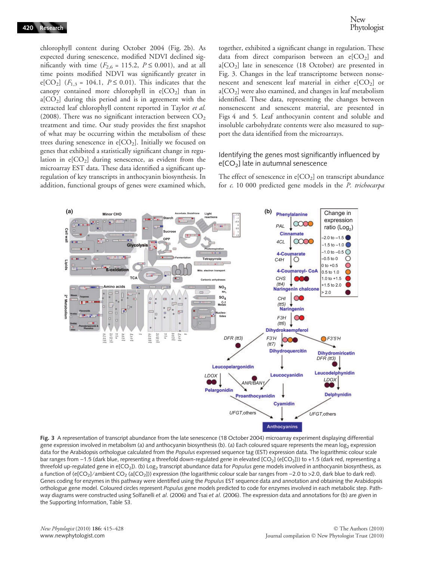chlorophyll content during October 2004 (Fig. 2b). As expected during senescence, modified NDVI declined significantly with time  $(F_{2,6} = 115.2, P \le 0.001)$ , and at all time points modified NDVI was significantly greater in e[CO<sub>2</sub>] ( $F_{1,3}$  = 104.1,  $P \le 0.01$ ). This indicates that the canopy contained more chlorophyll in  $e[CO_2]$  than in  $a[CO<sub>2</sub>]$  during this period and is in agreement with the extracted leaf chlorophyll content reported in Taylor et al. (2008). There was no significant interaction between  $CO<sub>2</sub>$ treatment and time. Our study provides the first snapshot of what may be occurring within the metabolism of these trees during senescence in  $e[CO_2]$ . Initially we focused on genes that exhibited a statistically significant change in regulation in  $e[CO_2]$  during senescence, as evident from the microarray EST data. These data identified a significant upregulation of key transcripts in anthocyanin biosynthesis. In addition, functional groups of genes were examined which, together, exhibited a significant change in regulation. These data from direct comparison between an  $e[CO_2]$  and  $a[CO<sub>2</sub>]$  late in senescence (18 October) are presented in Fig. 3. Changes in the leaf transcriptome between nonsenescent and senescent leaf material in either  $e[CO<sub>2</sub>]$  or  $a[CO<sub>2</sub>]$  were also examined, and changes in leaf metabolism identified. These data, representing the changes between nonsenescent and senescent material, are presented in Figs 4 and 5. Leaf anthocyanin content and soluble and insoluble carbohydrate contents were also measured to support the data identified from the microarrays.

#### Identifying the genes most significantly influenced by  $e[CO<sub>2</sub>]$  late in autumnal senescence

The effect of senescence in  $e[CO_2]$  on transcript abundance for c. 10 000 predicted gene models in the P. trichocarpa



Fig. 3 A representation of transcript abundance from the late senescence (18 October 2004) microarray experiment displaying differential gene expression involved in metabolism (a) and anthocyanin biosynthesis (b). (a) Each coloured square represents the mean log<sub>2</sub> expression data for the Arabidopsis orthologue calculated from the Populus expressed sequence tag (EST) expression data. The logarithmic colour scale bar ranges from -1.5 (dark blue, representing a threefold down-regulated gene in elevated [CO<sub>2</sub>] (e[CO<sub>2</sub>])) to +1.5 (dark red, representing a threefold up-regulated gene in e[CO<sub>2</sub>]). (b) Log<sub>2</sub> transcript abundance data for *Populus* gene models involved in anthocyanin biosynthesis, as a function of (e[CO<sub>2</sub>]/ambient CO<sub>2</sub> (a[CO<sub>2</sub>])) expression (the logarithmic colour scale bar ranges from -2.0 to >2.0, dark blue to dark red). Genes coding for enzymes in this pathway were identified using the Populus EST sequence data and annotation and obtaining the Arabidopsis orthologue gene model. Coloured circles represent Populus gene models predicted to code for enzymes involved in each metabolic step. Pathway diagrams were constructed using Solfanelli et al. (2006) and Tsai et al. (2006). The expression data and annotations for (b) are given in the Supporting Information, Table S3.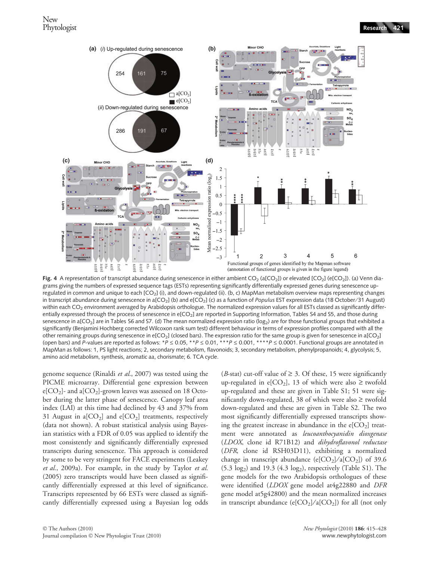

Fig. 4 A representation of transcript abundance during senescence in either ambient  $CO_2$  (a[CO<sub>2</sub>]) or elevated [CO<sub>2</sub>] (e[CO<sub>2</sub>]). (a) Venn diagrams giving the numbers of expressed sequence tags (ESTs) representing significantly differentially expressed genes during senescence upregulated in common and unique to each [CO2] (i), and down-regulated (ii). (b, c) MapMan metabolism overview maps representing changes in transcript abundance during senescence in a[CO<sub>2</sub>] (b) and e[CO<sub>2</sub>] (c) as a function of Populus EST expression data (18 October/31 August) within each CO<sub>2</sub> environment averaged by Arabidopsis orthologue. The normalized expression values for all ESTs classed as significantly differentially expressed through the process of senescence in e[CO<sub>2</sub>] are reported in Supporting Information, Tables S4 and S5, and those during senescence in a[CO<sub>2</sub>] are in Tables S6 and S7. (d) The mean normalized expression ratio (log<sub>2</sub>) are for those functional groups that exhibited a significantly (Benjamini Hochberg corrected Wilcoxon rank sum test) different behaviour in terms of expression profiles compared with all the other remaining groups during senescence in e[CO<sub>2</sub>] (closed bars). The expression ratio for the same group is given for senescence in a[CO<sub>2</sub>] (open bars) and P-values are reported as follows: \*P  $\leq$  0.05, \*\*P  $\leq$  0.01, \*\*\*P  $\leq$  0.001, \*\*\*\*P  $\leq$  0.0001. Functional groups are annotated in MapMan as follows: 1, PS light reactions; 2, secondary metabolism, flavonoids; 3, secondary metabolism, phenylpropanoids; 4, glycolysis; 5, amino acid metabolism, synthesis, aromatic aa, chorismate; 6. TCA cycle.

genome sequence (Rinaldi et al., 2007) was tested using the PICME microarray. Differential gene expression between e[ $CO<sub>2</sub>$ ]- and a[ $CO<sub>2</sub>$ ]-grown leaves was assessed on 18 October during the latter phase of senescence. Canopy leaf area index (LAI) at this time had declined by 43 and 37% from 31 August in a[ $CO<sub>2</sub>$ ] and e[ $CO<sub>2</sub>$ ] treatments, respectively (data not shown). A robust statistical analysis using Bayesian statistics with a FDR of 0.05 was applied to identify the most consistently and significantly differentially expressed transcripts during senescence. This approach is considered by some to be very stringent for FACE experiments (Leakey et al., 2009a). For example, in the study by Taylor et al. (2005) zero transcripts would have been classed as significantly differentially expressed at this level of significance. Transcripts represented by 66 ESTs were classed as significantly differentially expressed using a Bayesian log odds (*B*-stat) cut-off value of  $\geq 3$ . Of these, 15 were significantly up-regulated in e[CO<sub>2</sub>], 13 of which were also  $\geq$  twofold up-regulated and these are given in Table S1; 51 were significantly down-regulated, 38 of which were also  $\geq$  twofold down-regulated and these are given in Table S2. The two most significantly differentially expressed transcripts showing the greatest increase in abundance in the  $e[CO_2]$  treatment were annotated as leucoanthocyanidin dioxgenase (LDOX, clone id R71B12) and dihydroflavonol reductase (DFR, clone id RSH03D11), exhibiting a normalized change in transcript abundance (e[CO<sub>2</sub>]/a[CO<sub>2</sub>]) of 39.6  $(5.3 \text{ log}_2)$  and 19.3  $(4.3 \text{ log}_2)$ , respectively (Table S1). The gene models for the two Arabidopsis orthologues of these were identified (LDOX gene model at4g22880 and DFR gene model at5g42800) and the mean normalized increases in transcript abundance (e[ $CO<sub>2</sub>$ ]/a[ $CO<sub>2</sub>$ ]) for all (not only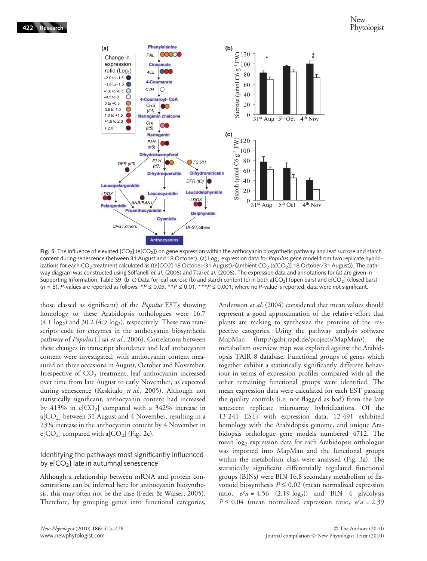

Fig. 5 The influence of elevated [CO<sub>2</sub>] (e[CO<sub>2</sub>]) on gene expression within the anthocyanin biosynthetic pathway and leaf sucrose and starch content during senescence (between 31 August and 18 October). (a) Log<sub>2</sub> expression data for Populus gene model from two replicate hybridizations for each CO<sub>2</sub> treatment calculated as ((e[CO2] 18 October/31 August)/(ambient CO<sub>2</sub> (a[CO<sub>2</sub>]) 18 October/31 August)). The pathway diagram was constructed using Solfanelli et al. (2006) and Tsai et al. (2006). The expression data and annotations for (a) are given in Supporting Information, Table S9. (b, c) Data for leaf sucrose (b) and starch content (c) in both a[CO<sub>2</sub>] (open bars) and e[CO<sub>2</sub>] (closed bars)  $(n = 8)$ . P-values are reported as follows: \*P  $\leq$  0.05, \*\*P  $\leq$  0.01, \*\*\*P  $\leq$  0.001; where no P-value is reported, data were not significant.

those classed as significant) of the Populus ESTs showing homology to these Arabidopsis orthologues were 16.7  $(4.1 \text{ log}_2)$  and 30.2  $(4.9 \text{ log}_2)$ , respectively. These two transcripts code for enzymes in the anthocyanin biosynthetic pathway of *Populus* (Tsai et al., 2006). Correlations between these changes in transcript abundance and leaf anthocyanin content were investigated, with anthocyanin content measured on three occasions in August, October and November. Irrespective of  $CO<sub>2</sub>$  treatment, leaf anthocyanin increased over time from late August to early November, as expected during senescence (Keskitalo et al., 2005). Although not statistically significant, anthocyanin content had increased by 413% in  $e[CO_2]$  compared with a 342% increase in  $a[CO<sub>2</sub>]$  between 31 August and 4 November, resulting in a 23% increase in the anthocyanin content by 4 November in  $e[CO_2]$  compared with a $[CO_2]$  (Fig. 2c).

# Identifying the pathways most significantly influenced by  $e[CO_2]$  late in autumnal senescence

Although a relationship between mRNA and protein concentrations can be inferred here for anthocyanin biosynthesis, this may often not be the case (Feder & Walser, 2005). Therefore, by grouping genes into functional categories,

Andersson et al. (2004) considered that mean values should represent a good approximation of the relative effort that plants are making to synthesize the proteins of the respective categories. Using the pathway analysis software MapMan (http://gabi.rzpd.de/projects/MapMan/), the metabolism overview map was explored against the Arabidopsis TAIR 8 database. Functional groups of genes which together exhibit a statistically significantly different behaviour in terms of expression profiles compared with all the other remaining functional groups were identified. The mean expression data were calculated for each EST passing the quality controls (i.e. not flagged as bad) from the late senescent replicate microarray hybridizations. Of the 13 241 ESTs with expression data, 12 491 exhibited homology with the Arabidopsis genome, and unique Arabidopsis orthologue gene models numbered 4712. The mean log<sub>2</sub> expression data for each Arabidopsis orthologue was imported into MapMan and the functional groups within the metabolism class were analysed (Fig. 3a). The statistically significant differentially regulated functional groups (BINs) were BIN 16.8 secondary metabolism of flavonoid biosynthesis  $P \leq 0.02$  (mean normalized expression ratio,  $e/a = 4.56$  (2.19 log<sub>2</sub>)) and BIN 4 glycolysis  $P \le 0.04$  (mean normalized expression ratio, e/a = 2.39)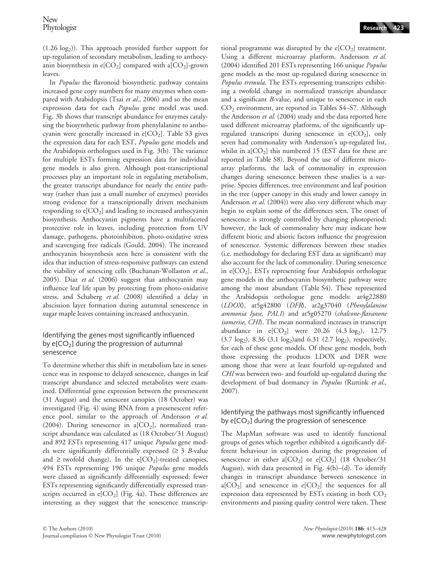$(1.26 \log_2)$ ). This approach provided further support for up-regulation of secondary metabolism, leading to anthocyanin biosynthesis in  $e[CO_2]$  compared with a $[CO_2]$ -grown leaves.

In Populus the flavonoid biosynthetic pathway contains increased gene copy numbers for many enzymes when compared with Arabidopsis (Tsai et al., 2006) and so the mean expression data for each Populus gene model was used. Fig. 3b shows that transcript abundance for enzymes catalysing the biosynthetic pathway from phenylalanine to anthocyanin were generally increased in  $e[CO_2]$ . Table S3 gives the expression data for each EST, Populus gene models and the Arabidopsis orthologues used in Fig. 3(b). The variance for multiple ESTs forming expression data for individual gene models is also given. Although post-transcriptional processes play an important role in regulating metabolism, the greater transcript abundance for nearly the entire pathway (rather than just a small number of enzymes) provides strong evidence for a transcriptionally driven mechanism responding to  $e[CO_2]$  and leading to increased anthocyanin biosynthesis. Anthocyanin pigments have a multifaceted protective role in leaves, including protection from UV damage, pathogens, photoinhibiton, photo-oxidative stress and scavenging free radicals (Gould, 2004). The increased anthocyanin biosynthesis seen here is consistent with the idea that induction of stress-responsive pathways can extend the viability of senescing cells (Buchanan-Wollaston et al., 2005). Diaz et al. (2006) suggest that anthocyanin may influence leaf life span by protecting from photo-oxidative stress, and Schaberg et al. (2008) identified a delay in abscission layer formation during autumnal senescence in sugar maple leaves containing increased anthocyanin.

# Identifying the genes most significantly influenced by  $e[CO_2]$  during the progression of autumnal senescence

To determine whether this shift in metabolism late in senescence was in response to delayed senescence, changes in leaf transcript abundance and selected metabolites were examined. Differential gene expression between the presenescent (31 August) and the senescent canopies (18 October) was investigated (Fig. 4) using RNA from a presenescent reference pool, similar to the approach of Andersson et al. (2004). During senescence in a[ $CO<sub>2</sub>$ ], normalized transcript abundance was calculated as (18 October/31 August) and 892 ESTs representing 417 unique Populus gene models were significantly differentially expressed ( $\geq 3$  B-value and  $\ge$  twofold change). In the e[CO<sub>2</sub>]-treated canopies, 494 ESTs representing 196 unique Populus gene models were classed as significantly differentially expressed; fewer ESTs representing significantly differentially expressed transcripts occurred in  $e[CO_2]$  (Fig. 4a). These differences are interesting as they suggest that the senescence transcriptional programme was disrupted by the  $e[CO_2]$  treatment. Using a different microarray platform, Andersson et al. (2004) identified 201 ESTs representing 166 unique Populus gene models as the most up-regulated during senescence in Populus tremula. The ESTs representing transcripts exhibiting a twofold change in normalized transcript abundance and a significant B-value, and unique to senescence in each CO<sub>2</sub> environment, are reported in Tables S4–S7. Although the Andersson et al. (2004) study and the data reported here used different microarray platforms, of the significantly upregulated transcripts during senescence in  $e[CO_2]$ , only seven had commonality with Andersson's up-regulated list, whilst in a $[CO<sub>2</sub>]$  this numbered 15 (EST data for these are reported in Table S8). Beyond the use of different microarray platforms, the lack of commonality in expression changes during senescence between these studies is a surprise. Species differences, tree environment and leaf position in the tree (upper canopy in this study and lower canopy in Andersson et al. (2004)) were also very different which may begin to explain some of the differences seen. The onset of senescence is strongly controlled by changing photoperiod; however, the lack of commonality here may indicate how different biotic and abiotic factors influence the progression of senescence. Systemic differences between these studies (i.e. methodology for declaring EST data as significant) may also account for the lack of commonality. During senescence in  $e[CO_2]$ , ESTs representing four Arabidopsis orthologue gene models in the anthocyanin biosynthetic pathway were among the most abundant (Table S4). These represented the Arabidopsis orthologue gene models: at4g22880 (LDOX), at5g42800 (DFR), at2g37040 (Phenylalanine ammonia lyase, PAL1) and at5g05270 (chalcone-flavanone isomerise, CHI). The mean normalized increases in transcript abundance in  $e[CO_2]$  were 20.26  $(4.3 \log_2)$ , 12.75  $(3.7 \log_2)$ , 8.36  $(3.1 \log_2)$  and 6.31  $(2.7 \log_2)$ , respectively, for each of these gene models. Of these gene models, both those expressing the products LDOX and DFR were among those that were at least fourfold up-regulated and CHI was between two- and fourfold up-regulated during the development of bud dormancy in *Populus* (Ruttink et al., 2007).

# Identifying the pathways most significantly influenced by  $e[CO<sub>2</sub>]$  during the progression of senescence

The MapMan software was used to identify functional groups of genes which together exhibited a significantly different behaviour in expression during the progression of senescence in either a $[CO_2]$  or  $e[CO_2]$  (18 October/31 August), with data presented in Fig.  $4(b)$ –(d). To identify changes in transcript abundance between senescence in  $a[CO_2]$  and senescence in  $e[CO_2]$  the sequences for all expression data represented by ESTs existing in both  $CO<sub>2</sub>$ environments and passing quality control were taken. These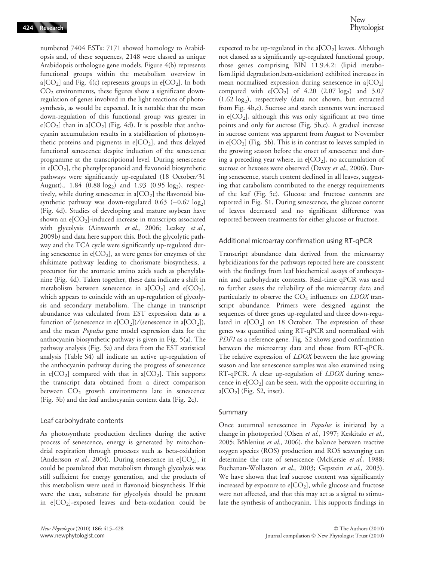numbered 7404 ESTs: 7171 showed homology to Arabidopsis and, of these sequences, 2148 were classed as unique Arabidopsis orthologue gene models. Figure 4(b) represents functional groups within the metabolism overview in a[ $CO<sub>2</sub>$ ] and Fig. 4(c) represents groups in e[ $CO<sub>2</sub>$ ]. In both  $CO<sub>2</sub>$  environments, these figures show a significant downregulation of genes involved in the light reactions of photosynthesis, as would be expected. It is notable that the mean down-regulation of this functional group was greater in  $e[CO_2]$  than in a $[CO_2]$  (Fig. 4d). It is possible that anthocyanin accumulation results in a stabilization of photosynthetic proteins and pigments in  $e[CO_2]$ , and thus delayed functional senescence despite induction of the senescence programme at the transcriptional level. During senescence in  $e[CO_2]$ , the phenylpropanoid and flavonoid biosynthetic pathways were significantly up-regulated (18 October/31 August),.  $1.84$  (0.88 log<sub>2</sub>) and  $1.93$  (0.95 log<sub>2</sub>), respectively, while during senescence in  $a[CO_2]$  the flavonoid biosynthetic pathway was down-regulated  $0.63$  (-0.67 log<sub>2</sub>) (Fig. 4d). Studies of developing and mature soybean have shown an  $e[CO_2]$ -induced increase in transcripts associated with glycolysis (Ainsworth et al., 2006; Leakey et al., 2009b) and data here support this. Both the glycolytic pathway and the TCA cycle were significantly up-regulated during senescence in  $e[CO_2]$ , as were genes for enzymes of the shikimate pathway leading to chorismate biosynthesis, a precursor for the aromatic amino acids such as phenylalanine (Fig. 4d). Taken together, these data indicate a shift in metabolism between senescence in a[ $CO<sub>2</sub>$ ] and e[ $CO<sub>2</sub>$ ], which appears to coincide with an up-regulation of glycolysis and secondary metabolism. The change in transcript abundance was calculated from EST expression data as a function of (senescence in e[CO<sub>2</sub>])/(senescence in a[CO<sub>2</sub>]), and the mean Populus gene model expression data for the anthocyanin biosynthetic pathway is given in Fig. 5(a). The pathway analysis (Fig. 5a) and data from the EST statistical analysis (Table S4) all indicate an active up-regulation of the anthocyanin pathway during the progress of senescence in  $e[CO_2]$  compared with that in  $a[CO_2]$ . This supports the transcript data obtained from a direct comparison between  $CO<sub>2</sub>$  growth environments late in senescence (Fig. 3b) and the leaf anthocyanin content data (Fig. 2c).

#### Leaf carbohydrate contents

As photosynthate production declines during the active process of senescence, energy is generated by mitochondrial respiration through processes such as beta-oxidation (Andersson et al., 2004). During senescence in  $e[CO_2]$ , it could be postulated that metabolism through glycolysis was still sufficient for energy generation, and the products of this metabolism were used in flavonoid biosynthesis. If this were the case, substrate for glycolysis should be present in  $e[CO_2]$ -exposed leaves and beta-oxidation could be expected to be up-regulated in the a[ $CO<sub>2</sub>$ ] leaves. Although not classed as a significantly up-regulated functional group, those genes comprising BIN 11.9.4.2: (lipid metabolism.lipid degradation.beta-oxidation) exhibited increases in mean normalized expression during senescence in  $a[CO_2]$ compared with  $e[CO_2]$  of 4.20 (2.07 log<sub>2</sub>) and 3.07 (1.62 log2), respectively (data not shown, but extracted from Fig. 4b,c). Sucrose and starch contents were increased in  $e[CO_2]$ , although this was only significant at two time points and only for sucrose (Fig. 5b,c). A gradual increase in sucrose content was apparent from August to November in  $e[CO_2]$  (Fig. 5b). This is in contrast to leaves sampled in the growing season before the onset of senescence and during a preceding year where, in  $e[CO_2]$ , no accumulation of sucrose or hexoses were observed (Davey et al., 2006). During senescence, starch content declined in all leaves, suggesting that catabolism contributed to the energy requirements of the leaf (Fig. 5c). Glucose and fructose contents are reported in Fig. S1. During senescence, the glucose content of leaves decreased and no significant difference was reported between treatments for either glucose or fructose.

#### Additional microarray confirmation using RT-qPCR

Transcript abundance data derived from the microarray hybridizations for the pathways reported here are consistent with the findings from leaf biochemical assays of anthocyanin and carbohydrate contents. Real-time qPCR was used to further assess the reliability of the microarray data and particularly to observe the  $CO<sub>2</sub>$  influences on *LDOX* transcript abundance. Primers were designed against the sequences of three genes up-regulated and three down-regulated in  $e[CO_2]$  on 18 October. The expression of these genes was quantified using RT-qPCR and normalized with PDF1 as a reference gene. Fig. S2 shows good confirmation between the microarray data and those from RT-qPCR. The relative expression of *LDOX* between the late growing season and late senescence samples was also examined using RT-qPCR. A clear up-regulation of *LDOX* during senescence in  $e[CO_2]$  can be seen, with the opposite occurring in  $a[CO<sub>2</sub>]$  (Fig. S2, inset).

#### Summary

Once autumnal senescence in Populus is initiated by a change in photoperiod (Olsen et al., 1997; Keskitalo et al., 2005; Böhlenius et al., 2006), the balance between reactive oxygen species (ROS) production and ROS scavenging can determine the rate of senescence (McKersie et al., 1988; Buchanan-Wollaston et al., 2003; Gepstein et al., 2003). We have shown that leaf sucrose content was significantly increased by exposure to  $e[CO_2]$ , while glucose and fructose were not affected, and that this may act as a signal to stimulate the synthesis of anthocyanin. This supports findings in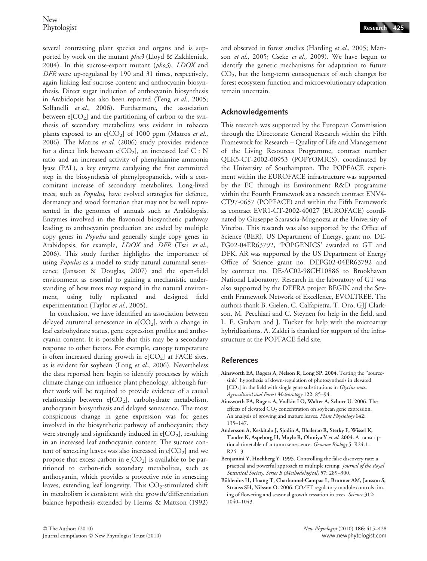several contrasting plant species and organs and is supported by work on the mutant *pho3* (Lloyd & Zakhleniuk, 2004). In this sucrose-export mutant (pho3), LDOX and DFR were up-regulated by 190 and 31 times, respectively, again linking leaf sucrose content and anthocyanin biosynthesis. Direct sugar induction of anthocyanin biosynthesis in Arabidopsis has also been reported (Teng et al., 2005; Solfanelli et al., 2006). Furthermore, the association between  $e[CO_2]$  and the partitioning of carbon to the synthesis of secondary metabolites was evident in tobacco plants exposed to an  $e[CO_2]$  of 1000 ppm (Matros *et al.*, 2006). The Matros et al. (2006) study provides evidence for a direct link between e[ $CO<sub>2</sub>$ ], an increased leaf C : N ratio and an increased activity of phenylalanine ammonia lyase (PAL), a key enzyme catalysing the first committed step in the biosynthesis of phenylpropanoids, with a concomitant increase of secondary metabolites. Long-lived trees, such as Populus, have evolved strategies for defence, dormancy and wood formation that may not be well represented in the genomes of annuals such as Arabidopsis. Enzymes involved in the flavonoid biosynthetic pathway leading to anthocyanin production are coded by multiple copy genes in Populus and generally single copy genes in Arabidopsis, for example, *LDOX* and *DFR* (Tsai et al., 2006). This study further highlights the importance of using Populus as a model to study natural autumnal senescence (Jansson & Douglas, 2007) and the open-field environment as essential to gaining a mechanistic understanding of how trees may respond in the natural environment, using fully replicated and designed field experimentation (Taylor et al., 2005).

In conclusion, we have identified an association between delayed autumnal senescence in  $e[CO_2]$ , with a change in leaf carbohydrate status, gene expression profiles and anthocyanin content. It is possible that this may be a secondary response to other factors. For example, canopy temperature is often increased during growth in  $e[CO_2]$  at FACE sites, as is evident for soybean (Long et al., 2006). Nevertheless the data reported here begin to identify processes by which climate change can influence plant phenology, although further work will be required to provide evidence of a causal relationship between  $e[CO_2]$ , carbohydrate metabolism, anthocyanin biosynthesis and delayed senescence. The most conspicuous change in gene expression was for genes involved in the biosynthetic pathway of anthocyanin; they were strongly and significantly induced in  $e[CO_2]$ , resulting in an increased leaf anthocyanin content. The sucrose content of senescing leaves was also increased in  $e[CO_2]$  and we propose that excess carbon in  $e[CO_2]$  is available to be partitioned to carbon-rich secondary metabolites, such as anthocyanin, which provides a protective role in senescing leaves, extending leaf longevity. This  $CO_2$ -stimulated shift in metabolism is consistent with the growth/differentiation balance hypothesis extended by Herms & Mattson (1992) and observed in forest studies (Harding et al., 2005; Mattson et al., 2005; Cseke et al., 2009). We have begun to identify the genetic mechanisms for adaptation to future CO2, but the long-term consequences of such changes for forest ecosystem function and microevolutionary adaptation remain uncertain.

### Acknowledgements

This research was supported by the European Commission through the Directorate General Research within the Fifth Framework for Research – Quality of Life and Management of the Living Resources Programme, contract number QLK5-CT-2002-00953 (POPYOMICS), coordinated by the University of Southampton. The POPFACE experiment within the EUROFACE infrastructure was supported by the EC through its Environment R&D programme within the Fourth Framework as a research contract ENV4- CT97-0657 (POPFACE) and within the Fifth Framework as contract EVR1-CT-2002-40027 (EUROFACE) coordinated by Giuseppe Scarascia-Mugnozza at the University of Viterbo. This research was also supported by the Office of Science (BER), US Department of Energy, grant no. DE-FG02-04ER63792, 'POPGENICS' awarded to GT and DFK. AR was supported by the US Department of Energy Office of Science grant no. DEFG02-04ER63792 and by contract no. DE-AC02-98CH10886 to Brookhaven National Laboratory. Research in the laboratory of GT was also supported by the DEFRA project BEGIN and the Seventh Framework Network of Excellence, EVOLTREE. The authors thank B. Gielen, C. Calfapietra, T. Oro, GJJ Clarkson, M. Pecchiari and C. Steynen for help in the field, and L. E. Graham and J. Tucker for help with the microarray hybridizations. A. Zaldei is thanked for support of the infrastructure at the POPFACE field site.

#### References

- Ainsworth EA, Rogers A, Nelson R, Long SP. 2004. Testing the ''sourcesink'' hypothesis of down-regulation of photosynthesis in elevated  $[CO<sub>2</sub>]$  in the field with single gene substitutions in *Glycine max*. Agricultural and Forest Meteorology 122: 85–94.
- Ainsworth EA, Rogers A, Vodkin LO, Walter A, Schurr U. 2006. The effects of elevated CO<sub>2</sub> concentration on soybean gene expression. An analysis of growing and mature leaves. Plant Physiology 142: 135–147.
- Andersson A, Keskitalo J, Sjodin A, Bhalerao R, Sterky F, Wissel K, Tandre K, Aspeborg H, Moyle R, Ohmiya Y et al. 2004. A transcriptional timetable of autumn senescence. Genome Biology 5: R24.1-R24.13.
- Benjamini Y, Hochberg Y. 1995. Controlling the false discovery rate: a practical and powerful approach to multiple testing. Journal of the Royal Statistical Society. Series B (Methodological) 57: 289–300.
- Böhlenius H, Huang T, Charbonnel-Campaa L, Brunner AM, Jansson S, Strauss SH, Nilsson O. 2006. CO/FT regulatory module controls timing of flowering and seasonal growth cessation in trees. Science 312: 1040–1043.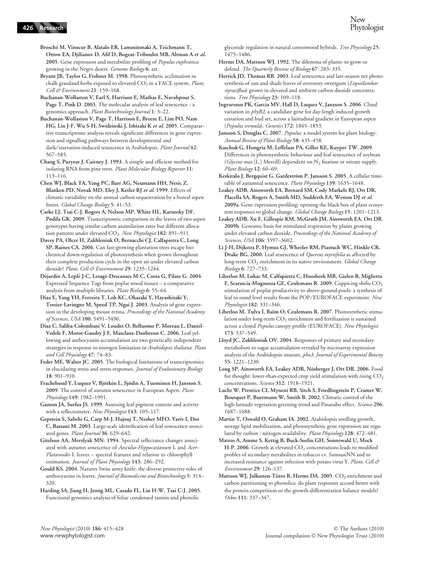Brosché M, Vinocur B, Alatalo ER, Lamminmaki A, Teichmann T, Ottow EA, Djilianov D, Afif D, Bogeat-Triboulot MB, Altman A et al. 2005. Gene expression and metabolite profiling of *Populus euphratica* growing in the Negev desert. Genome Biology 6: art.

Bryant JB, Taylor G, Frehner M. 1998. Photosynthetic acclimation in chalk grassland herbs exposed to elevated  $CO<sub>2</sub>$  in a FACE system. Plant, Cell & Environment 21: 159-168.

Buchanan-Wollaston V, Earl S, Harrison E, Mathas E, Navabpour S, Page T, Pink D. 2003. The molecular analysis of leaf senescence - a genomics approach. Plant Biotechnology Journal 1: 3–22.

Buchanan-Wollaston V, Page T, Harrison E, Breeze E, Lim PO, Nam HG, Lin J-F, Wu S-H, Swidzinski J, Ishizaki K et al. 2005. Comparartive transcriptome analysis reveals significant differences in gene expression and signalling pathways between developmental and dark/starvation-induced senescence in Arabidopsis. Plant Journal 42: 567–585.

Chang S, Puryear J, Cairney J. 1993. A simple and efficient method for isolating RNA from pine trees. Plant Molecular Biology Reporter 11: 113–116.

Chen WJ, Black TA, Yang PC, Barr AG, Neumann HH, Nesic Z, Blanken PD, Novak MD, Eley J, Ketler RJ et al. 1999. Effects of climatic variability on the annual carbon sequestration by a boreal aspen forest. Global Change Biology 5: 41–53.

Cseke LJ, Tsai C-J, Rogers A, Nelson MP, White HL, Karnosky DF, Podila GK. 2009. Transcriptomic comparison in the leaves of two aspen genotypes having similar carbon assimilation rates but different allocation patterns under elevated CO<sub>2</sub>. New Phytologist 182: 891-911.

Davey PA, Olcer H, Zakhleniuk O, Bernacchi CJ, Calfapietra C, Long SP, Raines CA. 2006. Can fast-growing plantation trees escape biochemical down-regulation of photosynthesis when grown throughout their complete production cycle in the open air under elevated carbon dioxide? Plant, Cell & Environment 29: 1235-1244.

Déjardin A, Leplé J-C, Lesage-Descauses M-C, Costa G, Pilate G. 2004. Expressed Sequence Tags from poplar wood tissues – a comparative analysis from multiple libraries. Plant Biology 6: 55–64.

Diaz E, Yang YH, Ferreira T, Loh KC, Okazaki Y, Hayashizaki Y, Tessier-Lavingne M, Speed TP, Ngai J. 2003. Analysis of gene expression in the developing mouse retina. Proceedings of the National Academy of Sciences, USA 100: 5491–5496.

Diaz C, Saliba-Colombani V, Loudet O, Belluomo P, Moreau L, Daniel-Vedele F, Morot-Gaudry J-F, Masclaux-Daubresse C. 2006. Leaf yellowing and anthocyanin accumulation are two genetically independent strategies in response to nitrogen limitation in Arabidopsis thaliana. Plant and Cell Physiology 47: 74–83.

Feder ME, Walser JC. 2005. The biological limitations of transcriptomics in elucidating stress and stress responses. Journal of Evolutionary Biology 18: 901–910.

Fracheboud Y, Luquez V, Björkén L, Sjödin A, Tuominen H, Jansson S. 2009. The control of autumn senescence in European Aspen. Plant Physiology 149: 1982–1991.

Gamon JA, Surfus JS. 1999. Assessing leaf pigment content and activity with a reflectometer. New Phytologist 143: 105-117.

Gepstein S, Sabehi G, Carp M-J, Hajouj T, Nesher MFO, Yariv I, Dor C, Bassani M. 2003. Large-scale identification of leaf senescence-associated genes. Plant Journal 36: 629-642.

Gitelson AA, Merzlyak MN. 1994. Spectral reflectance changes associated with autumn senescence of Aesculus-Hippocastanum L and Acer-Platanoides L leaves – spectral features and relation to chlorophyll estimation. Journal of Plant Physiology 143: 286–292.

Gould KS. 2004. Natures Swiss army knife: the diverse protective roles of anthocyanins in leaves. Journal of Biomedicine and Biotechnology 5: 314– 320.

Harding SA, Jiang H, Jeong ML, Casado FL, Lin H-W, Tsai C-J. 2005. Functional genomics analysis of foliar condensed tannin and phenolic

glycoside regulation in natural cottonwood hybrids. Tree Physiology 25: 1475–1486.

Herms DA, Mattson WJ. 1992. The dilemma of plants: to grow or defend. The Quarterly Review of Biology 67: 283–335.

Herrick JD, Thomas RB. 2003. Leaf senescence and late-season net photosynthesis of sun and shade leaves of overstory sweetgum (Liquidambar styraciflua) grown in elevated and ambient carbon dioxide concentrations. Tree Physiology 23: 109-118.

Ingvarsson PK, Garcia MV, Hall D, Luquez V, Jansson S. 2006. Clinal variation in *phyB2*, a candidate gene for day-lengh induced growth cessation and bud set, across a latitudinal gradient in European aspen (Populus tremula). Genetics 172: 1845–1853.

Jansson S, Douglas C. 2007. Populus: a model system for plant biology. Annual Review of Plant Biology 58: 435–458.

Kaschuk G, Hungria M, Leffelaar PA, Giller KE, Kuyper TW. 2009. Differences in photosynthetic behaviour and leaf senescence of soybean (Glycine max [L.] Merrill) dependent on  $N_2$  fixation or nitrate supply. Plant Biology 12: 60–69.

Keskitalo J, Bergquist G, Gardeström P, Jansson S. 2005. A cellular timetable of autumnal senescence. Plant Physiology 139: 1635-1648.

Leakey ADB, Ainsworth EA, Bernard SM, Cody Markelz RJ, Ort DR, Placella SA, Rogers A, Smith MD, Sudderth EA, Weston DJ et al. 2009a. Gene expression profiling: opening the black box of plant ecosystem responses to global change. Global Change Biology 15: 1201–1213.

Leakey ADB, Xu F, Gillespie KM, McGrath JM, Ainsworth EA, Ort DR. 2009b. Genomic basis for stimulated respiration by plants growing under elevated carbon dioxide. Proceedings of the National Academy of Sciences, USA 106: 3597–3602.

Li J-H, Dijkstra P, Hymus GJ, Wheeler RM, Piastuch WC, Hinkle CR, Drake BG. 2000. Leaf senescence of Quercus myrtifolia as affected by long-term CO<sub>2</sub> enrichment in its native environment. Global Change Biology 6: 727–733.

Liberloo M, Lukac M, Calfapietra C, Hoosbeek MR, Gielen B, Miglietta F, Scarascia-Mugnozza GE, Ceulemans R. 2009. Coppicing shifts CO<sub>2</sub> stimulation of poplar productivity to above-ground pools: a synthesis of leaf to stand level results from the POP ⁄ EUROFACE experiment. New Phytologist 182: 331–346.

Liberloo M, Tulva I, Raïm O, Ceulemans R. 2007. Photosynthetic stimulation under long-term  $CO<sub>2</sub>$  enrichment and fertilization is sustained across a closed Populus canopy profile (EUROFACE). New Phytologist 173: 537–549.

Lloyd JC, Zakhleniuk OV. 2004. Responses of primary and secondary metabolism to sugar accumulation revealed by microarray expression analysis of the Arabidopsis mutant, pho3. Journal of Experimental Botany 55: 1221–1230.

Long SP, Ainsworth EA, Leakey ADB, Nösberger J, Ort DR. 2006. Food for thought: lower-than-expected crop yield stimulation with rising  $CO<sub>2</sub>$ concentrations. Science 312: 1918–1921.

Lucht W, Prentice CI, Myneni RB, Sitch S, Friedlingstein P, Cramer W, Bousquet P, Buermann W, Smith B. 2002. Climatic control of the high-latitude vegetation greening trend and Pinatubo effect. Science 296: 1687–1688.

Martin T, Oswald O, Graham IA. 2002. Arabidopsis seedling growth, storage lipid mobilization, and photosynthetic gene expression are regulated by carbon : nitrogen availability. Plant Physiology 128: 472–481.

Matros A, Amme S, Kettig B, Buck-Sorlin GH, Sonnewald U, Mock H-P. 2006. Growth at elevated CO<sub>2</sub> concentrations leads to modified profiles of secondary metabolites in tobacco cv. SamsunNN and to increased resistance against infection with potato virus Y. Plant, Cell & Environment 29: 126–137.

Mattson WJ, Julkunen-Tiitto R, Herms DA. 2005. CO<sub>2</sub> enrichment and carbon partitioning to phenolics: do plant responses accord better with the protein competition or the growth-differentiation balance models? Oikos 111: 337–347.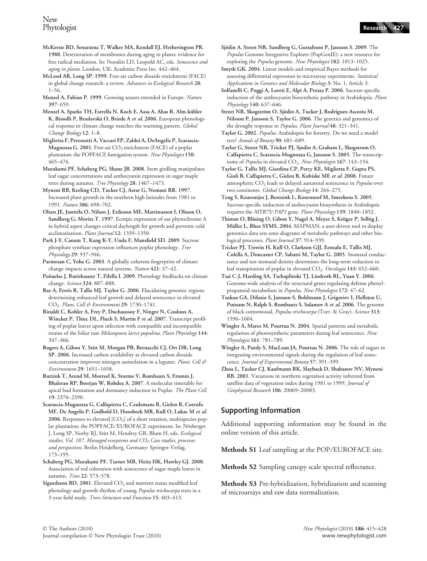- Phytologist Research 427
- McKersie BD, Senaratna T, Walker MA, Kendall EJ, Hetherington PR. 1988. Deterioration of membranes during aging in plants: evidence for free radical mediation. In: Noodén LD, Leopold AC, eds. Senescence and aging in plants. London, UK: Academic Press Inc. 442–464.
- McLeod AR, Long SP. 1999. Free-air carbon dioxide enrichment (FACE) in global change research: a review. Advances in Ecological Research 28: 1–56.
- Menzel A, Fabian P. 1999. Growing season extended in Europe. Nature 397: 659.
- Menzel A, Sparks TH, Estrella N, Koch E, Aasa A, Ahas R, Alm-kübler K, Bissolli P, Braslavská O, Briede A et al. 2006. European phenological response to climate change matches the warming pattern. Global Change Biology 12: 1–8.
- Miglietta F, Peressotti A, Vaccari FP, Zaldei A, DeAngelis P, Scarascia-Mugnozza G. 2001. Free-air  $CO_2$  enrichment (FACE) of a poplar plantation: the POPFACE fumigation system. New Phytologist 150: 465–476.
- Murakami PF, Schaberg PG, Shane JB. 2008. Stem girdling manipulates leaf sugar concentrations and anthocyanin expression in sugar maple trees during autumn. Tree Physiology 28: 1467–1473.
- Myneni RB, Keeling CD, Tucker CJ, Asrar G, Nemani RR. 1997. Increased plant growth in the northern high latitudes from 1981 to 1991. Nature 386: 698–702.
- Olsen JE, Junttila O, Nilsen J, Eriksson ME, Martinussen I, Olsson O, Sandberg G, Moritz T. 1997. Ecotpic expression of oat phytochrome A in hybrid aspen changes critical daylength for growth and prevents cold acclimatization. Plant Journal 12: 1339–1350.
- Park J-Y, Canam T, Kang K-Y, Unda F, Mansfield SD. 2009. Sucrose phosphate synthase expression influences poplar phenology. Tree Physiology 29: 937–946.
- Parmesan C, Yohe G. 2003. A globally coherent fingerprint of climate change impacts across natural systems. Nature 421: 37–42.
- Penuelas J, Rutishauser T, Filella I. 2009. Phenology feedbacks on climate change. Science 324: 887–888.
- Rae A, Ferris R, Tallis MJ, Taylor G. 2006. Elucidating genomic regions determining enhanced leaf growth and delayed senescence in elevated CO<sub>2</sub>. Plant, Cell & Environment 29: 1730-1741.
- Rinaldi C, Kohler A, Frey P, Duchaussoy F, Ningre N, Couloux A, Wincker P, Thiec DL, Fluch S, Martin F et al. 2007. Transcript profiling of poplar leaves upon infection with compatible and incompatible strains of the foliar rust Melampsora larici-populina. Plant Physiology 144: 347–366.
- Rogers A, Gibon Y, Stitt M, Morgan PB, Bernacchi CJ, Ort DR, Long SP. 2006. Increased carbon availability at elevated carbon dioxide concentration improves nitrogen assimilation in a legume. Plant, Cell & Environment 29: 1651–1658.
- Ruttink T, Arend M, Morreel K, Storme V, Rombauts S, Fromm J, Bhalerao RP, Boerjan W, Rohdea A. 2007. A molecular timetable for apical bud formation and dormancy induction in Poplar. The Plant Cell 19: 2370–2390.
- Scarascia-Mugnozza G, Calfapietra C, Ceulemans R, Gielen B, Cotrufo MF, De Angelis P, Godbold D, Hoosbeek MR, Kull O, Lukac M et al. 2006. Responses to elevated  $[CO_2]$  of a short rotation, multispecies poplar plantation: the POPFACE/EUROFACE experiment. In: Nösberger J, Long SP, Norby RJ, Stitt M, Hendrey GR, Blum H, eds. Ecological studies, Vol. 187. Managed ecosystems and  $CO<sub>2</sub>$  Case studies, processes and perspectives. Berlin Heidelberg, Germany: Springer-Verlag, 173–195.
- Schaberg PG, Murakami PF, Turner MR, Heitz HK, Hawley GJ. 2008. Association of red coloration with senescence of sugar maple leaves in autumn. Trees 22: 573–578.
- Sigurdsson BD. 2001. Elevated  $CO<sub>2</sub>$  and nutrient status modified leaf phenology and growth rhythm of young Populus trichocarpa trees in a 3-year field study. Trees-Structure and Function 15: 403–413.
- Sjödin A, Street NR, Sandberg G, Gustafsson P, Jansson S. 2009. The Populus Genome Integrative Explorer (PopGenIE): a new resource for exploring the Populus genome. New Phytologist 182: 1013–1025.
- Smyth GK. 2004. Linear models and empirical Bayes methods for assessing differential expression in microarray experiments. Statistical Applications in Genetics and Molecular Biology 3: No. 1, Article 3.
- Solfanelli C, Poggi A, Loreti E, Alpi A, Perata P. 2006. Sucrose-specific induction of the anthocyanin biosynthetic pathway in Arabidopsis. Plant Physiology 140: 637–646.
- Street NR, Skogström O, Sjödin A, Tucker J, Rodríguez-Ascosta M, Nilsson P, Jansson S, Taylor G. 2006. The genetics and genomics of the drought response in Populus. Plant Journal 48: 321–341.
- Taylor G. 2002. Populus. Arabidopsis for forestry. Do we need a model tree? Annals of Botany 90: 681-689.
- Taylor G, Street NR, Tricker PJ, Sjodin A, Graham L, Skogstrom O, Calfapietra C, Scarascia-Mugnozza G, Jansson S. 2005. The transcriptome of Populus in elevated CO<sub>2</sub>. New Phytologist 167: 143-154.
- Taylor G, Tallis MJ, Giardina CP, Percy KE, Miglietta F, Gupta PS, Gioli B, Calfapietra C, Gielen B, Kubiske ME et al. 2008. Future atmospheric  $CO<sub>2</sub>$  leads to delayed autumnal senescence in *Populus* over two continents. Global Change Biology 14: 264–275.
- Teng S, Keurentjes J, Bentsink L, Koornneef M, Smeekens S. 2005. Sucrose-specific induction of anthocyanin biosynthesis in Arabidopsis requires the MYB75/PAP1 gene. Plant Physiology 139: 1840-1852.
- Thimm O, Bläsing O, Gibon Y, Nagel A, Meyer S, Krüger P, Selbig J, Müller L, Rhee SYMS. 2004. MAPMAN: a user-driven tool to display genomics data sets onto diagrams of metabolic pathways and other biological processes. Plant Journal 37: 914–939.
- Tricker PJ, Trewin H, Kull O, Clarkson GJJ, Eensalu E, Tallis MJ, Colella A, Doncaster CP, Sabatti M, Taylor G. 2005. Stomatal conductance and not stomatal density determines the long-term reduction in leaf transpiration of poplar in elevated CO<sub>2</sub>. Oecologia 143: 652-660.
- Tsai C-J, Harding SA, Tschaplinski TJ, Lindroth RL, Yuan Y. 2006. Genome-wide analysis of the structural genes regulating defense phenylpropanoid metabolism in Populus. New Phytologist 172: 47–62.
- Tuskan GA, Difazio S, Jansson S, Bohlmann J, Grigoriev I, Hellsten U, Putnam N, Ralph S, Rombauts S, Salamov A et al. 2006. The genome of black cottonwood, Populus trichocarpa (Torr. & Gray). Science 313: 1596–1604.
- Wingler A, Mares M, Pourtau N. 2004. Spatial patterns and metabolic regulation of photosynthetic parameters during leaf senescence. New Phytologist 161: 781–789.
- Wingler A, Purdy S, MacLean JA, Pourtau N. 2006. The role of sugars in integrating environmental signals during the regulation of leaf senescence. Journal of Experimental Botany 57: 391–399.
- Zhou L, Tucker CJ, Kaufmann RK, Slayback D, Shabanov NV, Myneni RB. 2001. Variations in northern vegetation activity infrerred from satellite data of vegetation index during 1981 to 1999. Journal of Geophysical Research 106: 20069–20083.

# Supporting Information

Additional supporting information may be found in the online version of this article.

Methods S1 Leaf sampling at the POP/EUROFACE site.

Methods S2 Sampling canopy scale spectral reflectance.

Methods S3 Pre-hybridization, hybridization and scanning of microarrays and raw data normalization.